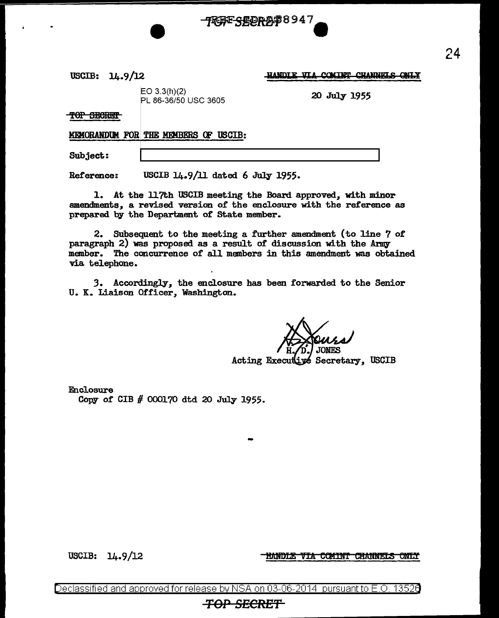USCIB: 14. 9 /l2

HANDLE VIA **COMINT CHANNELS ONLY** 

EO 3.3(h)(2)  $P$   $\sim$  3.3(11)(2)<br>PL 86-36/50 USC 3605

TOP SECRET

**MEMORANDUM FOR THE MEMBERS OF USCIB:** 

Subject:

Reference: USCIB 14.9/11 dated 6 July 1955.

1. At the 117th USCIB meeting the Board approved, with minor amendments, a revised version of the enclosure with the reference as prepared by the Department of State member.

4RBF<del>C</del>CORA\$8947

2. Subsequent to the meeting a further amendment (to line 7 of paragraph 2) was proposed as a result of discussion with the Army member. The concurrence of all menbers in this amendment was obtained via telephone.

*3.* Accordingly, the enclosure has been forwarded to the Senior U. K. Liaison Officer, Washington.

Acting Executive Secretary. USCIB

Enclosure

Copy of CIB # 000170 dtd 20 July 1955.

USCIB:  $14.9/12$ 

<u>HANDLE VIA COMINT CHANNELS ONLY</u>

Declassified and approved for release by NSA on 03-06-2014 pursuantto E.O. 1352a

-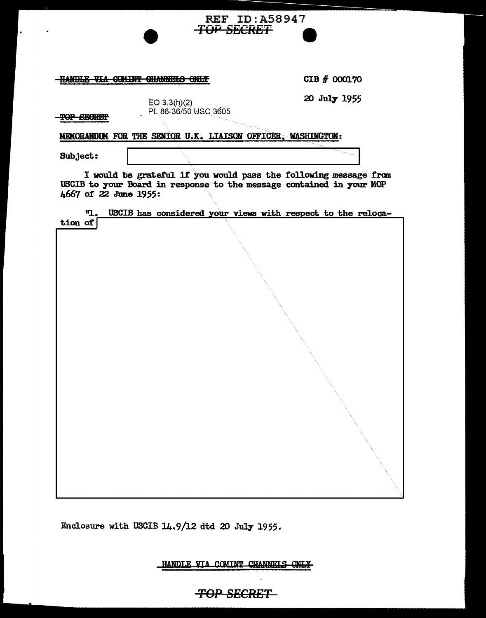## **HANDLE VIA COMINT CHANNELS ONLY**

CIB # 000170

20 July 1955

 $EO 3.3(h)(2)$ PL. 86-36/50 use 36os

MEMORANDUM FOR THE SENIOR U.K. LIAISON OFFICER, WASHINGTON:

Subject:

TOP SECRET

I would be grateful. if you would pass the following message from USCIB to your Board in response to the message contained in your MOP 4667 or 22 June 1955:

REF ID:A58947

**TOP SECRET** 

|                             | $\mathbf{u}$ . |  | USCIB has considered your views with respect to the reloca- |  |  |  |  |
|-----------------------------|----------------|--|-------------------------------------------------------------|--|--|--|--|
| $\frac{\text{tion of}}{\ }$ |                |  |                                                             |  |  |  |  |
|                             |                |  |                                                             |  |  |  |  |
|                             |                |  |                                                             |  |  |  |  |
|                             |                |  |                                                             |  |  |  |  |
|                             |                |  |                                                             |  |  |  |  |
|                             |                |  |                                                             |  |  |  |  |
|                             |                |  |                                                             |  |  |  |  |
|                             |                |  |                                                             |  |  |  |  |
|                             |                |  |                                                             |  |  |  |  |
|                             |                |  |                                                             |  |  |  |  |
|                             |                |  |                                                             |  |  |  |  |
|                             |                |  |                                                             |  |  |  |  |
|                             |                |  |                                                             |  |  |  |  |
|                             |                |  |                                                             |  |  |  |  |
|                             |                |  |                                                             |  |  |  |  |
|                             |                |  |                                                             |  |  |  |  |
|                             |                |  |                                                             |  |  |  |  |
|                             |                |  |                                                             |  |  |  |  |
|                             |                |  |                                                             |  |  |  |  |
|                             |                |  |                                                             |  |  |  |  |
|                             |                |  |                                                             |  |  |  |  |
|                             |                |  |                                                             |  |  |  |  |
|                             |                |  |                                                             |  |  |  |  |
|                             |                |  |                                                             |  |  |  |  |
|                             |                |  |                                                             |  |  |  |  |
|                             |                |  |                                                             |  |  |  |  |
|                             |                |  |                                                             |  |  |  |  |

Enclosure with USCIB 14.9/12 dtd 20 July 1955.

HANDLE VIA COMINT CHANNELS ONLY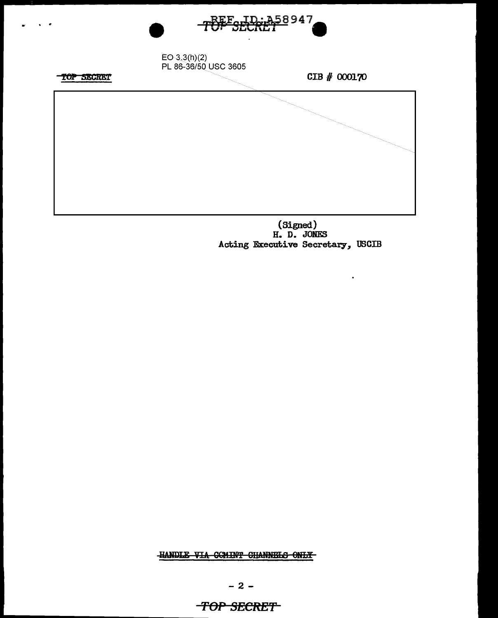

...

(Signed) H. D. JONES Acting Executive Secretary, USCIB

 $\hat{\mathbf{r}}$ 

HANDLE VIA COMINT CHANNELS ONLY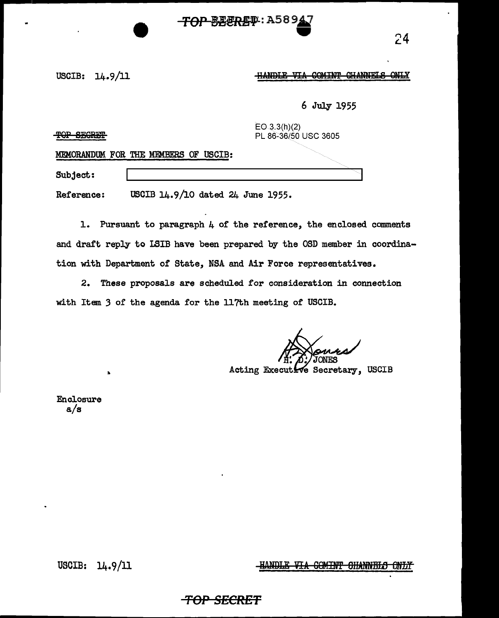# **TOP BEERET: A589**

### USCIB:  $14.9/11$   $\frac{HANDE}{HANDE}$  VIA COMINT CHANNELS ONLY

6 July 1955

 $EO.3.3(h)(2)$ **TOP SEGRET SUITE AND RESOLUTE A PLACE OF A SECOND PLACE 3605 ONC 3605** 

MEMORANDUM FOR THE MEMBERS OF USCIB:

Subject:

Reference: USCIB 14.9/10 dated 24 June 1955.

1. Pursuant to paragraph 4 or the reference, the enclosed comments and draft reply to LSIB have been prepared by the OSD member in coordination with Department of State, NSA and Air Force representatives.

2. These proposals are scheduled for consideration in connection with Item 3 of the agenda for the 117th meeting of USCIB.

Acting Executive Secretary, USCIB

Enclosure a/s

..

USCIB: 14.9/11

HANDLE VIA COMINT CHANNELS ONLY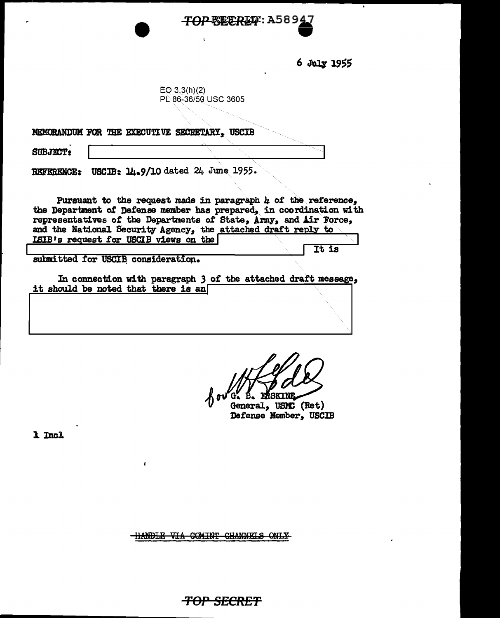# *TOP BEEREF***: A58947**<br>•

6 J1111' 19SS

 $EQ - 3.3(h)(2)$ PL.86-36/50 USC 3605

MEMORANDUM FOR THE EXECUTIVE SECRETARY, USCIB

 $SUBJECT:$ 

REFERENCE: USCIB: 14.9/10 dated 24 June 1955.

 $\mathbf{I}$ 

Pursuant to the request made in paragraph  $\mu$  of the reference, the Department of Defense member has prepared, in coordination with representatives of the Departments of State, *Army*, and Air Force, and the National Security Agency, the attached draft reply to ISIB's request for USCIB views on the It is

submitted for USCIB consideration.

In connection with paragraph *3* of the attached draft message,, it should be noted that there is an

'ດ. **B. ERSKIN** 

General, USMC (Ret) Defense Member, USCIB

1 Incl

HANDLE VIA COMINT CHANNELS ONLY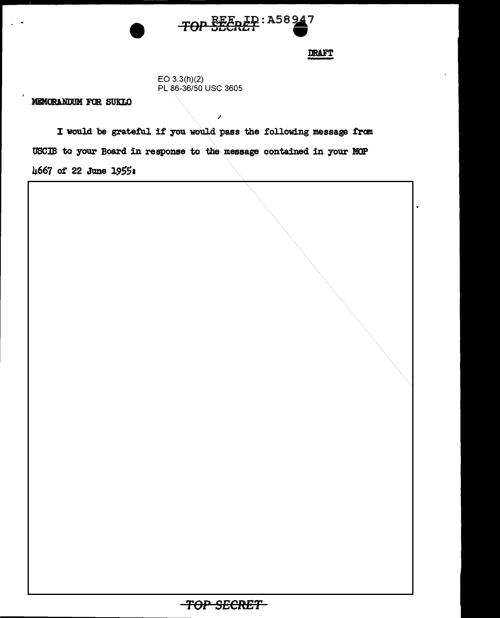

**DRAFT** 

EO 3.3(h)(2) PL 86-36/50 USC 3605

MEMORANDUM FOR SUKLO

I would be grateful if you would pass the following message from USCJB to your Board in response to the message contained in your MOP 4667 of 22 JUne 19551

*)* 

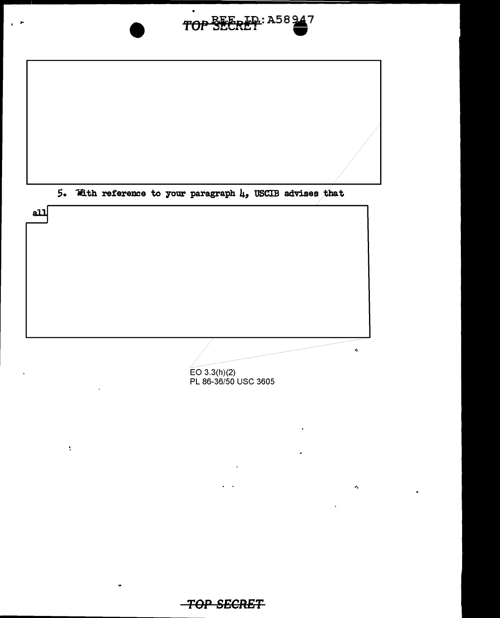

EO 3.3(h)(2)<br>PL 86-36/50 USC 3605

Ą,

 $\ddot{\cdot}$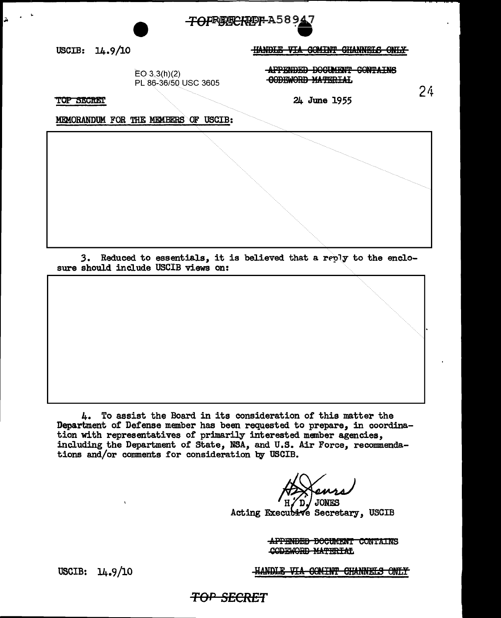

USCIB:  $14.9/10$ 

**HANDLE VIA COMINT CHANNELS ONLY** 

 $EO 3.3(h)(2)$ PL 86-36/50 USC 3605 APPENDED DOCUMENT CONTAINS **CODEWORD MATERIAL** 

 $24$ 

**TOP SECRET** 

24 June 1955

MEMORANDUM FOR THE MEMBERS OF USCIB:

3. Reduced to essentials, it is believed that a reply to the enclosure should include USCIB views on:

4. To assist the Board in its consideration of this matter the Department of Defense member has been requested to prepare, in coordination with representatives of primarily interested member agencies, including the Department of State, NSA, and U.S. Air Force, recommendations and/or comments for consideration by USCIB.

**JONES** 

Acting Executive Secretary, USCIB

APPENDED DOCUMENT CONTAINS CODEWORD MATERIAL

HANDLE VIA COMINT CHANNELS ONLY

USCIB:  $14.9/10$ 

<del>TOP SECRET</del>